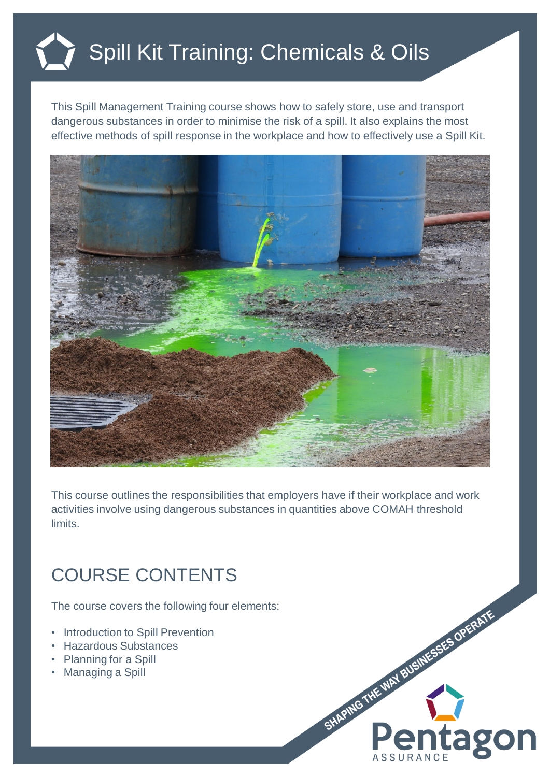## Spill Kit Training: Chemicals & Oils

This Spill Management Training course shows how to safely store, use and transport dangerous substances in order to minimise the risk of a spill. It also explains the most effective methods of spill response in the workplace and how to effectively use a Spill Kit.



This course outlines the responsibilities that employers have if their workplace and work activities involve using dangerous substances in quantities above COMAH threshold limits.

## COURSE CONTENTS

The course covers the following four elements:

- Introduction to Spill Prevention
- Hazardous Substances
- Planning for a Spill
- Managing a Spill